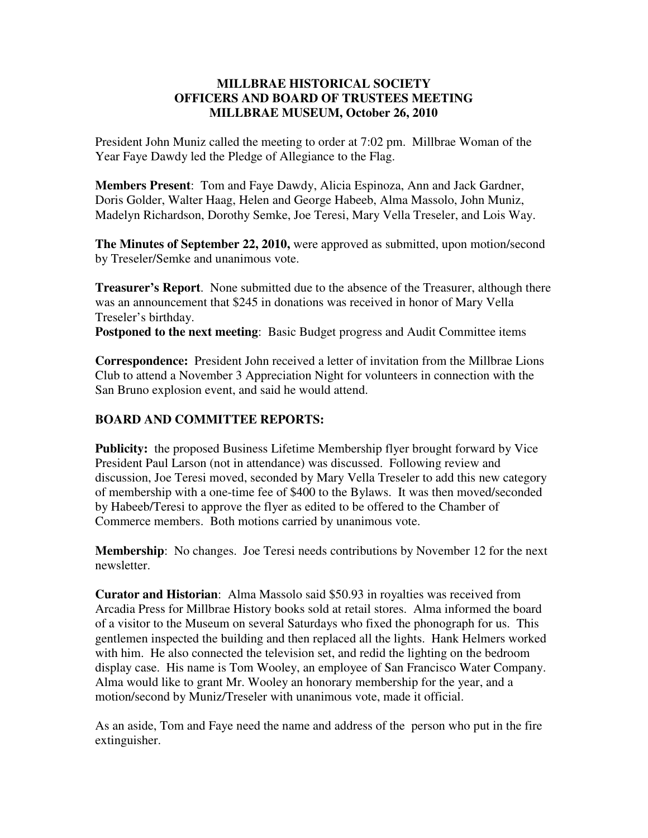## **MILLBRAE HISTORICAL SOCIETY OFFICERS AND BOARD OF TRUSTEES MEETING MILLBRAE MUSEUM, October 26, 2010**

President John Muniz called the meeting to order at 7:02 pm. Millbrae Woman of the Year Faye Dawdy led the Pledge of Allegiance to the Flag.

**Members Present**: Tom and Faye Dawdy, Alicia Espinoza, Ann and Jack Gardner, Doris Golder, Walter Haag, Helen and George Habeeb, Alma Massolo, John Muniz, Madelyn Richardson, Dorothy Semke, Joe Teresi, Mary Vella Treseler, and Lois Way.

**The Minutes of September 22, 2010,** were approved as submitted, upon motion/second by Treseler/Semke and unanimous vote.

**Treasurer's Report**. None submitted due to the absence of the Treasurer, although there was an announcement that \$245 in donations was received in honor of Mary Vella Treseler's birthday.

**Postponed to the next meeting**: Basic Budget progress and Audit Committee items

**Correspondence:** President John received a letter of invitation from the Millbrae Lions Club to attend a November 3 Appreciation Night for volunteers in connection with the San Bruno explosion event, and said he would attend.

## **BOARD AND COMMITTEE REPORTS:**

**Publicity:** the proposed Business Lifetime Membership flyer brought forward by Vice President Paul Larson (not in attendance) was discussed. Following review and discussion, Joe Teresi moved, seconded by Mary Vella Treseler to add this new category of membership with a one-time fee of \$400 to the Bylaws. It was then moved/seconded by Habeeb/Teresi to approve the flyer as edited to be offered to the Chamber of Commerce members. Both motions carried by unanimous vote.

**Membership**: No changes. Joe Teresi needs contributions by November 12 for the next newsletter.

**Curator and Historian**: Alma Massolo said \$50.93 in royalties was received from Arcadia Press for Millbrae History books sold at retail stores. Alma informed the board of a visitor to the Museum on several Saturdays who fixed the phonograph for us. This gentlemen inspected the building and then replaced all the lights. Hank Helmers worked with him. He also connected the television set, and redid the lighting on the bedroom display case. His name is Tom Wooley, an employee of San Francisco Water Company. Alma would like to grant Mr. Wooley an honorary membership for the year, and a motion/second by Muniz/Treseler with unanimous vote, made it official.

As an aside, Tom and Faye need the name and address of the person who put in the fire extinguisher.